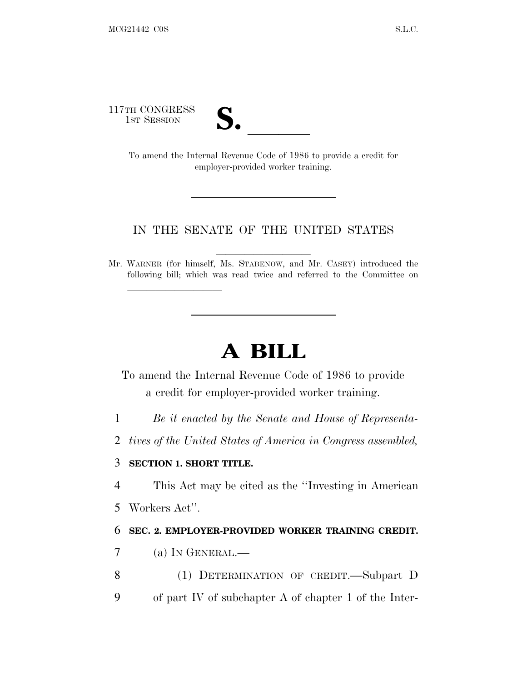117TH CONGRESS



TH CONGRESS<br>
1ST SESSION<br>
To amend the Internal Revenue Code of 1986 to provide a credit for employer-provided worker training.

## IN THE SENATE OF THE UNITED STATES

Mr. WARNER (for himself, Ms. STABENOW, and Mr. CASEY) introduced the following bill; which was read twice and referred to the Committee on

## **A BILL**

To amend the Internal Revenue Code of 1986 to provide a credit for employer-provided worker training.

1 *Be it enacted by the Senate and House of Representa-*

2 *tives of the United States of America in Congress assembled,*

## 3 **SECTION 1. SHORT TITLE.**

lla se al consegue de la consegue de la consegue de la consegue de la consegue de la consegue de la consegue d<br>La consegue de la consegue de la consegue de la consegue de la consegue de la consegue de la consegue de la co

4 This Act may be cited as the ''Investing in American 5 Workers Act''.

## 6 **SEC. 2. EMPLOYER-PROVIDED WORKER TRAINING CREDIT.**

- 7 (a) I<sup>N</sup> GENERAL.—
- 8 (1) DETERMINATION OF CREDIT.—Subpart D 9 of part IV of subchapter A of chapter 1 of the Inter-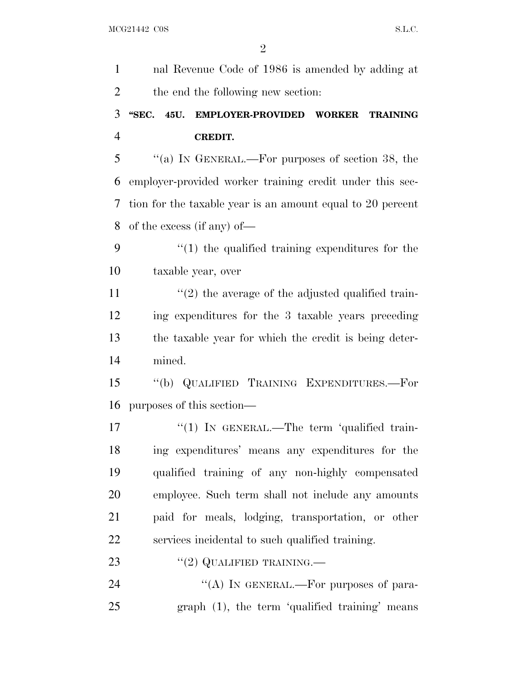| $\mathbf{1}$   | nal Revenue Code of 1986 is amended by adding at           |
|----------------|------------------------------------------------------------|
| 2              | the end the following new section:                         |
| 3              | "SEC. 45U. EMPLOYER-PROVIDED WORKER<br><b>TRAINING</b>     |
| $\overline{4}$ | <b>CREDIT.</b>                                             |
| 5              | "(a) IN GENERAL.—For purposes of section 38, the           |
| 6              | employer-provided worker training credit under this sec-   |
| 7              | tion for the taxable year is an amount equal to 20 percent |
| 8              | of the excess (if any) of—                                 |
| 9              | $\cdot$ (1) the qualified training expenditures for the    |
| 10             | taxable year, over                                         |
| 11             | $\lq(2)$ the average of the adjusted qualified train-      |
| 12             | ing expenditures for the 3 taxable years preceding         |
| 13             | the taxable year for which the credit is being deter-      |
| 14             | mined.                                                     |
| 15             | "(b) QUALIFIED TRAINING EXPENDITURES.—For                  |
| 16             | purposes of this section—                                  |
| 17             | "(1) IN GENERAL.—The term 'qualified train-                |
| 18             | ing expenditures' means any expenditures for the           |
| 19             | qualified training of any non-highly compensated           |
| 20             | employee. Such term shall not include any amounts          |
| 21             | paid for meals, lodging, transportation, or other          |
| 22             | services incidental to such qualified training.            |
| 23             | $``(2)$ QUALIFIED TRAINING.—                               |
| 24             | "(A) IN GENERAL.—For purposes of para-                     |
| 25             | graph (1), the term 'qualified training' means             |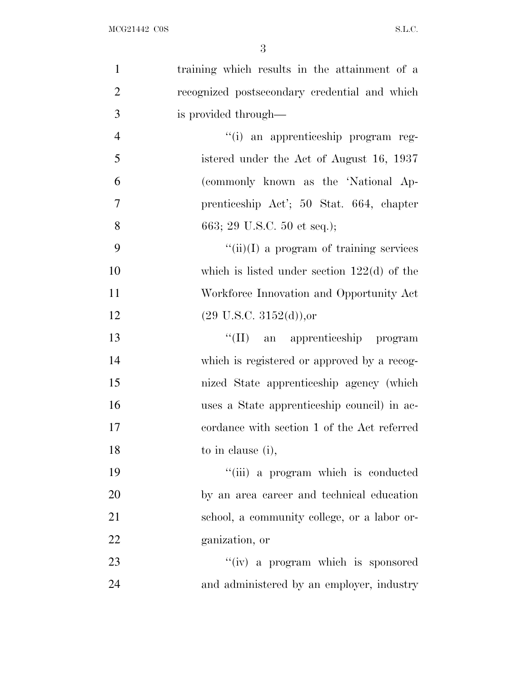| $\mathbf{1}$   | training which results in the attainment of a |
|----------------|-----------------------------------------------|
| $\overline{2}$ | recognized postsecondary credential and which |
| 3              | is provided through—                          |
| $\overline{4}$ | "(i) an apprenticeship program reg-           |
| 5              | istered under the Act of August 16, 1937      |
| 6              | (commonly known as the 'National Ap-          |
| $\overline{7}$ | prenticeship Act'; 50 Stat. 664, chapter      |
| 8              | 663; 29 U.S.C. 50 et seq.);                   |
| 9              | $``(ii)(I)$ a program of training services    |
| 10             | which is listed under section $122(d)$ of the |
| 11             | Workforce Innovation and Opportunity Act      |
| 12             | $(29 \text{ U.S.C. } 3152(d))$ , or           |
| 13             | "(II) an apprenticeship program               |
| 14             | which is registered or approved by a recog-   |
| 15             | nized State apprenticeship agency (which      |
| 16             | uses a State apprenticeship council) in ac-   |
| 17             | cordance with section 1 of the Act referred   |
| 18             | to in clause (i),                             |
| 19             | "(iii) a program which is conducted           |
| 20             | by an area career and technical education     |
| 21             | school, a community college, or a labor or-   |
| 22             | ganization, or                                |
| 23             | "(iv) a program which is sponsored            |
| 24             | and administered by an employer, industry     |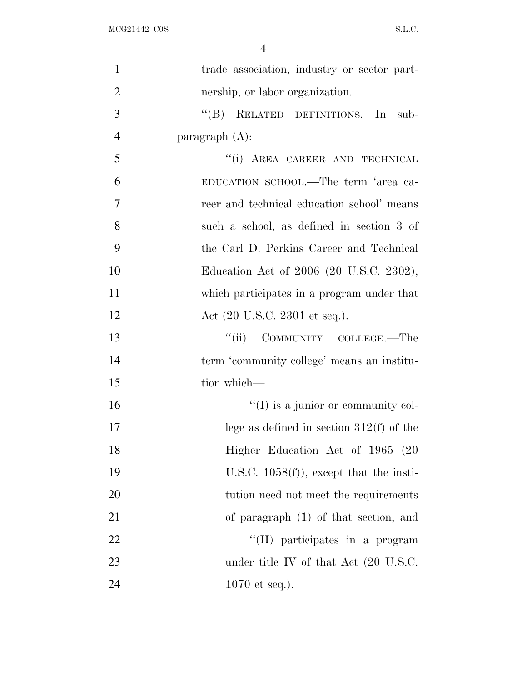| $\mathbf{1}$   | trade association, industry or sector part-      |
|----------------|--------------------------------------------------|
| $\overline{2}$ | nership, or labor organization.                  |
| 3              | "(B) RELATED DEFINITIONS.—In sub-                |
| $\overline{4}$ | paragraph $(A)$ :                                |
| 5              | "(i) AREA CAREER AND TECHNICAL                   |
| 6              | EDUCATION SCHOOL.—The term 'area ca-             |
| $\overline{7}$ | reer and technical education school' means       |
| 8              | such a school, as defined in section 3 of        |
| 9              | the Carl D. Perkins Career and Technical         |
| 10             | Education Act of 2006 (20 U.S.C. 2302),          |
| 11             | which participates in a program under that       |
| 12             | Act (20 U.S.C. 2301 et seq.).                    |
| 13             | COMMUNITY COLLEGE.—The<br>``(ii)                 |
| 14             | term 'community college' means an institu-       |
| 15             | tion which—                                      |
| 16             | $\lq\lq$ (I) is a junior or community col-       |
| 17             | lege as defined in section $312(f)$ of the       |
| 18             | Higher Education Act of 1965 (20                 |
| 19             | U.S.C. $1058(f)$ , except that the insti-        |
| 20             | tution need not meet the requirements            |
| 21             | of paragraph (1) of that section, and            |
| 22             | "(II) participates in a program                  |
| 23             | under title IV of that Act $(20 \text{ U.S.C.})$ |
| 24             | $1070$ et seq.).                                 |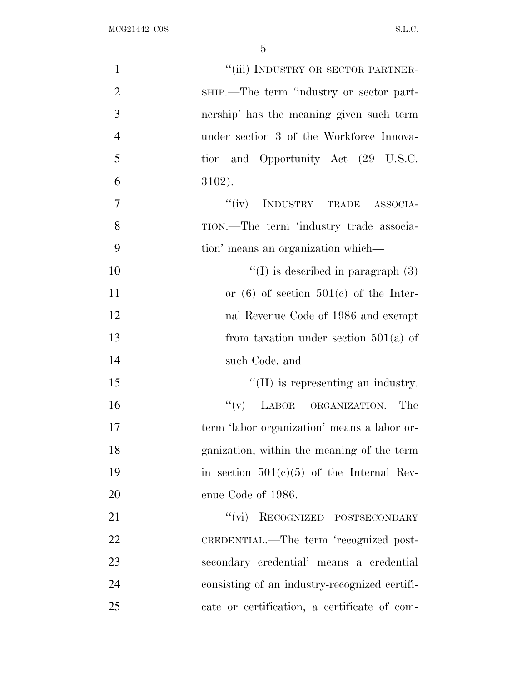| $\mathbf{1}$   | "(iii) INDUSTRY OR SECTOR PARTNER-            |
|----------------|-----------------------------------------------|
| $\overline{2}$ | SHIP.—The term 'industry or sector part-      |
| 3              | nership' has the meaning given such term      |
| $\overline{4}$ | under section 3 of the Workforce Innova-      |
| 5              | tion and Opportunity Act (29 U.S.C.           |
| 6              | 3102).                                        |
| $\overline{7}$ | "(iv) INDUSTRY TRADE ASSOCIA-                 |
| 8              | TION.—The term 'industry trade associa-       |
| 9              | tion' means an organization which—            |
| 10             | $\lq\lq$ is described in paragraph (3)        |
| 11             | or $(6)$ of section $501(c)$ of the Inter-    |
| 12             | nal Revenue Code of 1986 and exempt           |
| 13             | from taxation under section $501(a)$ of       |
| 14             | such Code, and                                |
| 15             | $\lq\lq$ (II) is representing an industry.    |
| 16             | "(v) LABOR ORGANIZATION.—The                  |
| 17             | term 'labor organization' means a labor or-   |
| 18             | ganization, within the meaning of the term    |
| 19             | in section $501(c)(5)$ of the Internal Rev-   |
| 20             | enue Code of 1986.                            |
| 21             | "(vi) RECOGNIZED POSTSECONDARY                |
| 22             | CREDENTIAL.—The term 'recognized post-        |
| 23             | secondary credential' means a credential      |
| 24             | consisting of an industry-recognized certifi- |
| 25             | cate or certification, a certificate of com-  |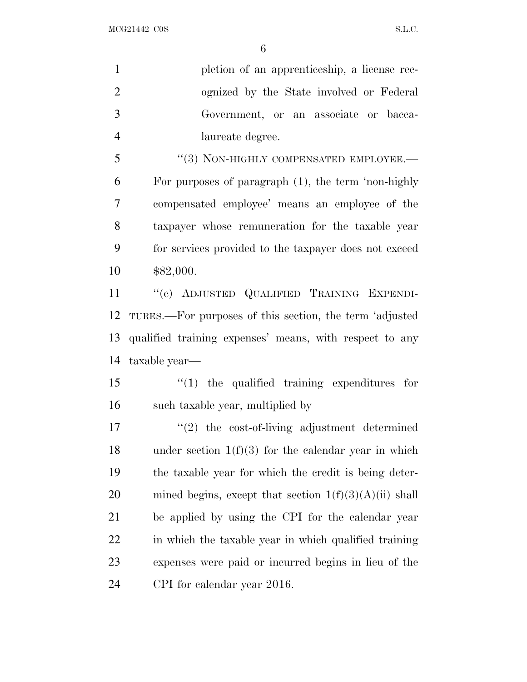MCG21442 C0S S.L.C.

| $\mathbf{1}$   | pletion of an apprenticeship, a license rec-             |
|----------------|----------------------------------------------------------|
| $\overline{2}$ | ognized by the State involved or Federal                 |
| 3              | Government, or an associate or bacca-                    |
| $\overline{4}$ | laureate degree.                                         |
| 5              | "(3) NON-HIGHLY COMPENSATED EMPLOYEE.-                   |
| 6              | For purposes of paragraph $(1)$ , the term 'non-highly   |
| $\tau$         | compensated employee' means an employee of the           |
| 8              | taxpayer whose remuneration for the taxable year         |
| 9              | for services provided to the taxpayer does not exceed    |
| 10             | \$82,000.                                                |
| 11             | "(c) ADJUSTED QUALIFIED TRAINING EXPENDI-                |
| 12             | TURES.—For purposes of this section, the term 'adjusted  |
| 13             | qualified training expenses' means, with respect to any  |
| 14             | taxable year—                                            |
| 15             | $\lq(1)$ the qualified training expenditures for         |
| 16             | such taxable year, multiplied by                         |
| 17             | $"(2)$ the cost-of-living adjustment determined          |
| 18             | under section $1(f)(3)$ for the calendar year in which   |
| 19             | the taxable year for which the credit is being deter-    |
| 20             | mined begins, except that section $1(f)(3)(A)(ii)$ shall |
| 21             | be applied by using the CPI for the calendar year        |
| 22             | in which the taxable year in which qualified training    |
| 23             | expenses were paid or incurred begins in lieu of the     |
| 24             |                                                          |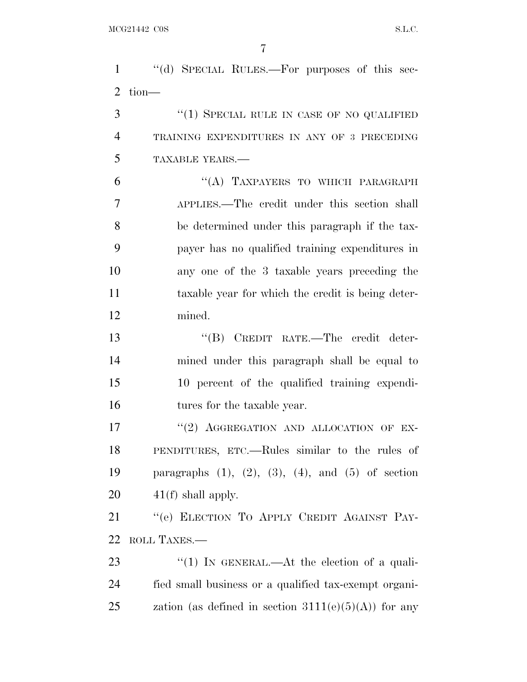''(d) SPECIAL RULES.—For purposes of this sec- tion— 3 "(1) SPECIAL RULE IN CASE OF NO QUALIFIED TRAINING EXPENDITURES IN ANY OF 3 PRECEDING

TAXABLE YEARS.—

6 "(A) TAXPAYERS TO WHICH PARAGRAPH APPLIES.—The credit under this section shall be determined under this paragraph if the tax- payer has no qualified training expenditures in any one of the 3 taxable years preceding the taxable year for which the credit is being deter-mined.

 ''(B) CREDIT RATE.—The credit deter- mined under this paragraph shall be equal to 10 percent of the qualified training expendi-16 tures for the taxable year.

 $(2)$  AGGREGATION AND ALLOCATION OF EX- PENDITURES, ETC.—Rules similar to the rules of paragraphs (1), (2), (3), (4), and (5) of section  $20 \qquad \qquad 41(f)$  shall apply.

21 "'(e) ELECTION TO APPLY CREDIT AGAINST PAY-ROLL TAXES.—

23 "(1) In GENERAL.—At the election of a quali- fied small business or a qualified tax-exempt organi-25 zation (as defined in section  $3111(e)(5)(A)$ ) for any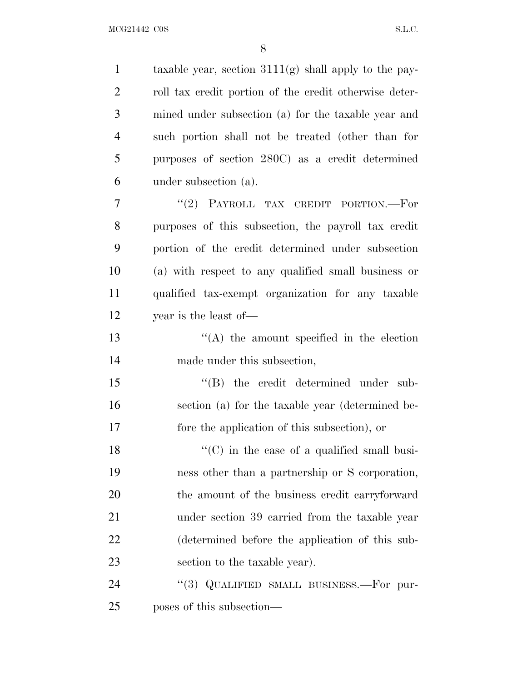MCG21442 C0S S.L.C.

1 taxable year, section  $3111(g)$  shall apply to the pay- roll tax credit portion of the credit otherwise deter- mined under subsection (a) for the taxable year and such portion shall not be treated (other than for purposes of section 280C) as a credit determined under subsection (a). 7 "(2) PAYROLL TAX CREDIT PORTION.—For purposes of this subsection, the payroll tax credit portion of the credit determined under subsection (a) with respect to any qualified small business or qualified tax-exempt organization for any taxable year is the least of— ''(A) the amount specified in the election made under this subsection,  $\langle$  (B) the credit determined under sub- section (a) for the taxable year (determined be- fore the application of this subsection), or 18 ''(C) in the case of a qualified small busi- ness other than a partnership or S corporation, the amount of the business credit carryforward under section 39 carried from the taxable year (determined before the application of this sub- section to the taxable year). 24 "(3) QUALIFIED SMALL BUSINESS.—For pur-poses of this subsection—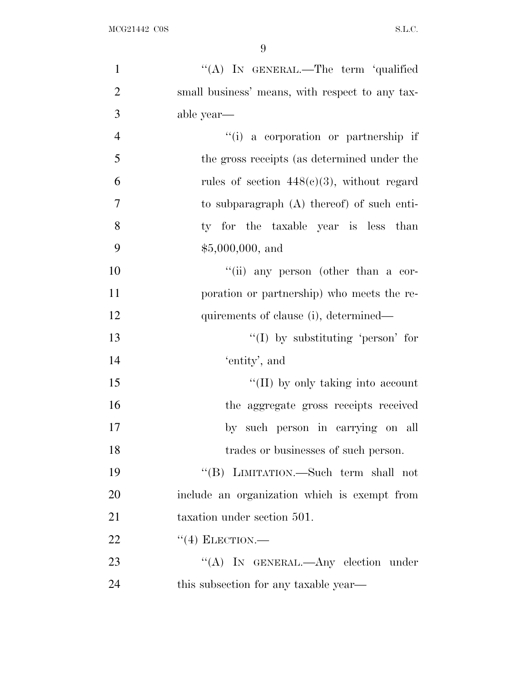| $\mathbf{1}$   | "(A) IN GENERAL.—The term 'qualified            |
|----------------|-------------------------------------------------|
| $\overline{2}$ | small business' means, with respect to any tax- |
| 3              | able year—                                      |
| $\overline{4}$ | "(i) a corporation or partnership if            |
| 5              | the gross receipts (as determined under the     |
| 6              | rules of section $448(c)(3)$ , without regard   |
| $\overline{7}$ | to subparagraph $(A)$ thereof) of such enti-    |
| 8              | ty for the taxable year is less than            |
| 9              | $$5,000,000, \text{ and}$                       |
| 10             | "(ii) any person (other than a cor-             |
| 11             | poration or partnership) who meets the re-      |
| 12             | quirements of clause (i), determined—           |
| 13             | $\lq\lq$ by substituting 'person' for           |
| 14             | 'entity', and                                   |
| 15             | "(II) by only taking into account               |
| 16             | the aggregate gross receipts received           |
| 17             | by such person in carrying on all               |
| 18             | trades or businesses of such person.            |
| 19             | "(B) LIMITATION.—Such term shall not            |
| 20             | include an organization which is exempt from    |
| 21             | taxation under section 501.                     |
| 22             | $``(4)$ ELECTION.—                              |
| 23             | "(A) IN GENERAL.—Any election under             |
| 24             | this subsection for any taxable year—           |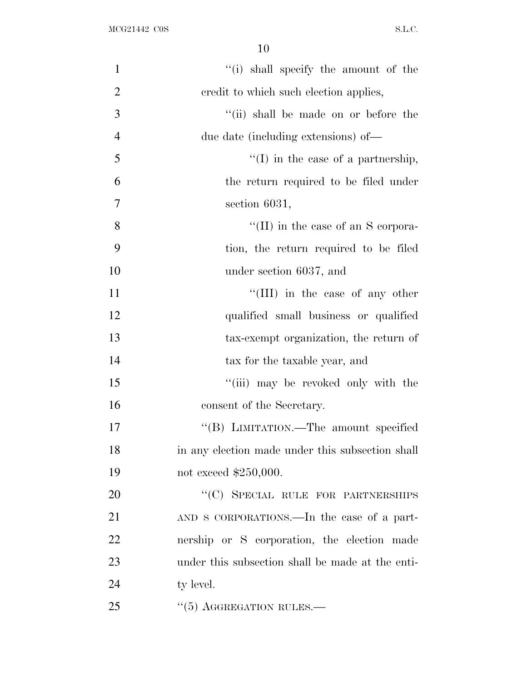| $\mathbf{1}$   | "(i) shall specify the amount of the             |
|----------------|--------------------------------------------------|
| $\overline{2}$ | credit to which such election applies,           |
| 3              | "(ii) shall be made on or before the             |
| $\overline{4}$ | due date (including extensions) of—              |
| 5              | $\lq\lq$ (I) in the case of a partnership,       |
| 6              | the return required to be filed under            |
| $\overline{7}$ | section 6031,                                    |
| 8              | "(II) in the case of an S corpora-               |
| 9              | tion, the return required to be filed            |
| 10             | under section 6037, and                          |
| 11             | $\lq\lq$ (III) in the case of any other          |
| 12             | qualified small business or qualified            |
| 13             | tax-exempt organization, the return of           |
| 14             | tax for the taxable year, and                    |
| 15             | "(iii) may be revoked only with the              |
| 16             | consent of the Secretary.                        |
| 17             | "(B) LIMITATION.—The amount specified            |
| 18             | in any election made under this subsection shall |
| 19             | not exceed \$250,000.                            |
| 20             | "(C) SPECIAL RULE FOR PARTNERSHIPS               |
| 21             | AND S CORPORATIONS.—In the case of a part-       |
| 22             | nership or S corporation, the election made      |
| 23             | under this subsection shall be made at the enti- |
| 24             | ty level.                                        |
| 25             | $\cdot\cdot$ (5) AGGREGATION RULES.—             |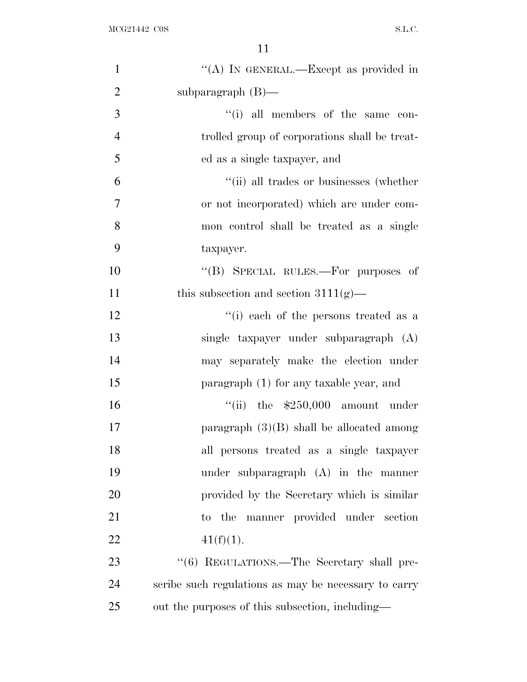| "(A) IN GENERAL.—Except as provided in               |
|------------------------------------------------------|
| subparagraph $(B)$ —                                 |
| "(i) all members of the same con-                    |
| trolled group of corporations shall be treat-        |
| ed as a single taxpayer, and                         |
| "(ii) all trades or businesses (whether              |
| or not incorporated) which are under com-            |
| mon control shall be treated as a single             |
| taxpayer.                                            |
| "(B) SPECIAL RULES.—For purposes of                  |
| this subsection and section $3111(g)$ —              |
| "(i) each of the persons treated as a                |
| single taxpayer under subparagraph (A)               |
| may separately make the election under               |
| paragraph (1) for any taxable year, and              |
| "(ii) the $$250,000$ amount under                    |
| paragraph $(3)(B)$ shall be allocated among          |
| all persons treated as a single taxpayer             |
| under subparagraph $(A)$ in the manner               |
| provided by the Secretary which is similar           |
| manner provided under section<br>to the              |
| $41(f)(1)$ .                                         |
| "(6) REGULATIONS.—The Secretary shall pre-           |
| scribe such regulations as may be necessary to carry |
| out the purposes of this subsection, including—      |
|                                                      |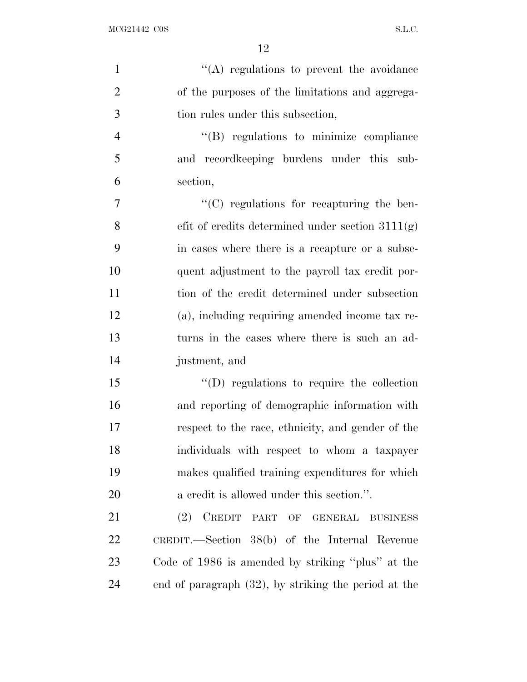| $\mathbf{1}$   | $\lq\lq$ regulations to prevent the avoidance        |
|----------------|------------------------------------------------------|
| $\overline{2}$ | of the purposes of the limitations and aggrega-      |
| 3              | tion rules under this subsection,                    |
| $\overline{4}$ | "(B) regulations to minimize compliance              |
| 5              | and record keeping burdens under this sub-           |
| 6              | section,                                             |
| 7              | "(C) regulations for recapturing the ben-            |
| 8              | efit of credits determined under section $3111(g)$   |
| 9              | in cases where there is a recapture or a subse-      |
| 10             | quent adjustment to the payroll tax credit por-      |
| 11             | tion of the credit determined under subsection       |
| 12             | (a), including requiring amended income tax re-      |
| 13             | turns in the cases where there is such an ad-        |
| 14             | justment, and                                        |
| 15             | "(D) regulations to require the collection           |
| 16             | and reporting of demographic information with        |
| 17             | respect to the race, ethnicity, and gender of the    |
| 18             | individuals with respect to whom a taxpayer          |
| 19             | makes qualified training expenditures for which      |
| 20             | a credit is allowed under this section.".            |
| 21             | (2)<br>CREDIT PART OF GENERAL BUSINESS               |
| 22             | CREDIT.—Section $38(b)$ of the Internal Revenue      |
| 23             | Code of 1986 is amended by striking "plus" at the    |
| 24             | end of paragraph (32), by striking the period at the |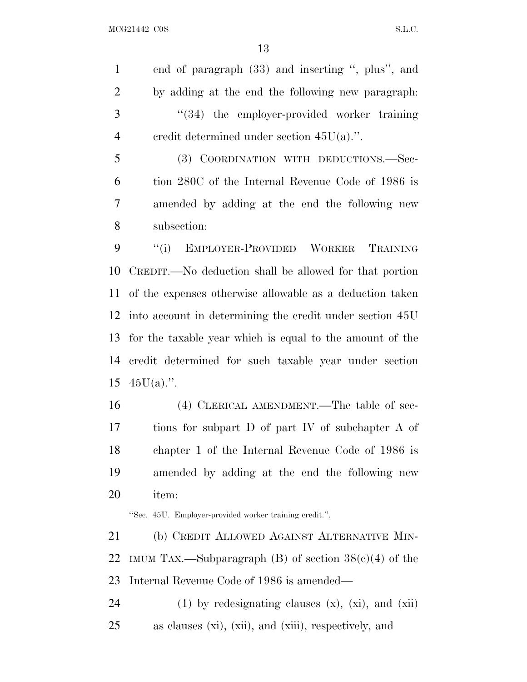end of paragraph (33) and inserting '', plus'', and by adding at the end the following new paragraph: ''(34) the employer-provided worker training credit determined under section 45U(a).''.

 (3) COORDINATION WITH DEDUCTIONS.—Sec- tion 280C of the Internal Revenue Code of 1986 is amended by adding at the end the following new subsection:

 ''(i) EMPLOYER-PROVIDED WORKER TRAINING CREDIT.—No deduction shall be allowed for that portion of the expenses otherwise allowable as a deduction taken into account in determining the credit under section 45U for the taxable year which is equal to the amount of the credit determined for such taxable year under section  $45U(a)$ .".

 (4) CLERICAL AMENDMENT.—The table of sec- tions for subpart D of part IV of subchapter A of chapter 1 of the Internal Revenue Code of 1986 is amended by adding at the end the following new item:

''Sec. 45U. Employer-provided worker training credit.''.

 (b) CREDIT ALLOWED AGAINST ALTERNATIVE MIN-22 IMUM TAX.—Subparagraph (B) of section  $38(c)(4)$  of the Internal Revenue Code of 1986 is amended—

24 (1) by redesignating clauses  $(x)$ ,  $(xi)$ , and  $(xii)$ as clauses (xi), (xii), and (xiii), respectively, and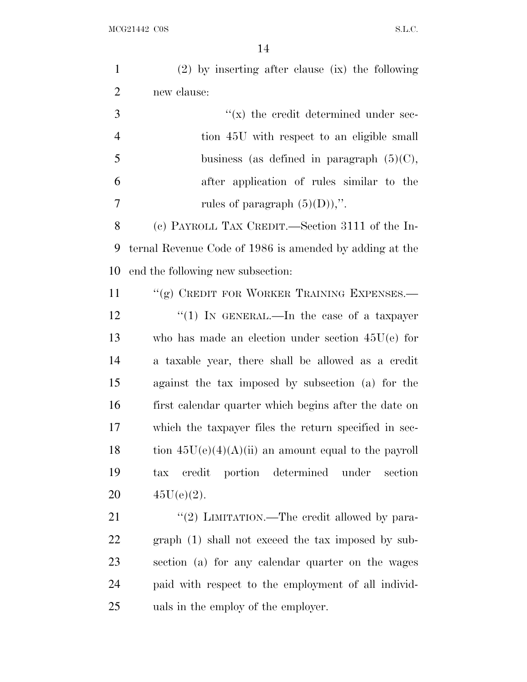$\rm{MCG21442\>\>C0S}\qquad \qquad \rm{S.L.C.}$ 

| $\mathbf{1}$   | $(2)$ by inserting after clause $(ix)$ the following    |
|----------------|---------------------------------------------------------|
| $\overline{2}$ | new clause:                                             |
| 3              | $f(x)$ the credit determined under sec-                 |
| $\overline{4}$ | tion 45U with respect to an eligible small              |
| 5              | business (as defined in paragraph $(5)(C)$ ,            |
| 6              | after application of rules similar to the               |
| 7              | rules of paragraph $(5)(D)$ ,".                         |
| 8              | (c) PAYROLL TAX CREDIT.—Section 3111 of the In-         |
| 9              | ternal Revenue Code of 1986 is amended by adding at the |
| 10             | end the following new subsection:                       |
| 11             | "(g) CREDIT FOR WORKER TRAINING EXPENSES.—              |
| 12             | "(1) IN GENERAL.—In the case of a taxpayer              |
| 13             | who has made an election under section $45U(e)$ for     |
| 14             | a taxable year, there shall be allowed as a credit      |
| 15             | against the tax imposed by subsection (a) for the       |
| 16             | first calendar quarter which begins after the date on   |
| 17             | which the taxpayer files the return specified in sec-   |
| 18             | tion $45U(e)(4)(A)(ii)$ an amount equal to the payroll  |
| 19             | credit portion determined under<br>section<br>tax       |
| 20             | $45U(e)(2)$ .                                           |
| 21             | "(2) LIMITATION.—The credit allowed by para-            |
| 22             | $graph(1)$ shall not exceed the tax imposed by sub-     |
| 23             | section (a) for any calendar quarter on the wages       |
| 24             | paid with respect to the employment of all individ-     |
| 25             | uals in the employ of the employer.                     |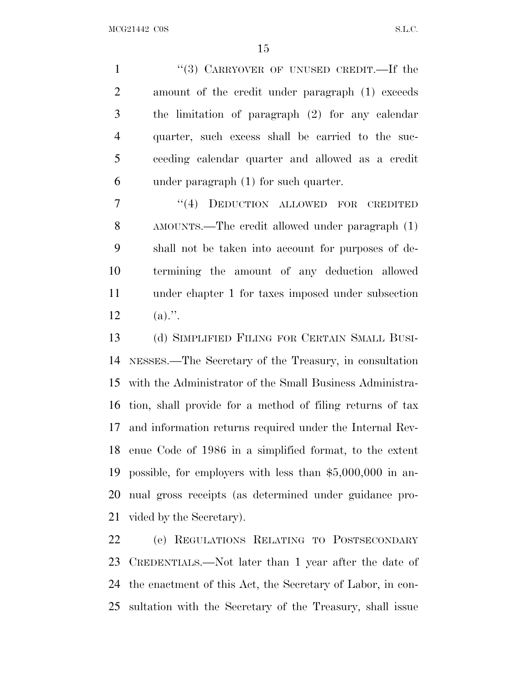1 "(3) CARRYOVER OF UNUSED CREDIT.—If the amount of the credit under paragraph (1) exceeds the limitation of paragraph (2) for any calendar quarter, such excess shall be carried to the suc- ceeding calendar quarter and allowed as a credit under paragraph (1) for such quarter.

7 "(4) DEDUCTION ALLOWED FOR CREDITED AMOUNTS.—The credit allowed under paragraph (1) shall not be taken into account for purposes of de- termining the amount of any deduction allowed under chapter 1 for taxes imposed under subsection 12 (a).".

 (d) SIMPLIFIED FILING FOR CERTAIN SMALL BUSI- NESSES.—The Secretary of the Treasury, in consultation with the Administrator of the Small Business Administra- tion, shall provide for a method of filing returns of tax and information returns required under the Internal Rev- enue Code of 1986 in a simplified format, to the extent possible, for employers with less than \$5,000,000 in an- nual gross receipts (as determined under guidance pro-vided by the Secretary).

 (e) REGULATIONS RELATING TO POSTSECONDARY CREDENTIALS.—Not later than 1 year after the date of the enactment of this Act, the Secretary of Labor, in con-sultation with the Secretary of the Treasury, shall issue